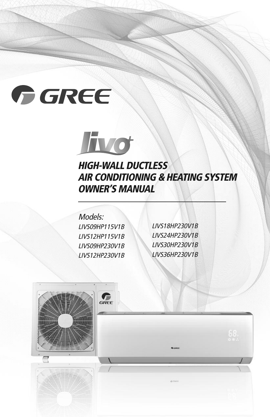# GREE



# **HIGH-WALL DUCTLESS AIR CONDITIONING & HEATING SYSTEM OWNER'S MANUAL**

Models: LIVS09HP115V1B LIVS12HP115V1B LIVS09HP230V1B LIVS12HP230V1B

LIVS18HP230V1B LIVS24HP230V1B LIVS30HP230V1B LIVS36HP230V1B

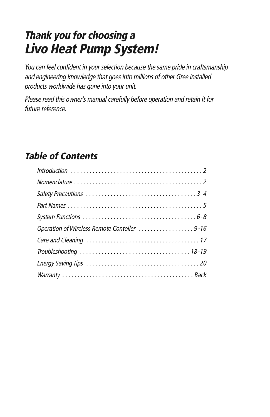# **Thank you for choosing <sup>a</sup> Livo Heat Pump System!**

You can feel confident in your selection because the same pride in craftsmanship and engineering knowledge that goes into millions of other Gree installed products worldwide has gone into your unit.

Please read this owner's manual carefully before operation and retain it for future reference.

# **Table of Contents**

| Operation of Wireless Remote Contoller 9-16 |
|---------------------------------------------|
|                                             |
|                                             |
|                                             |
|                                             |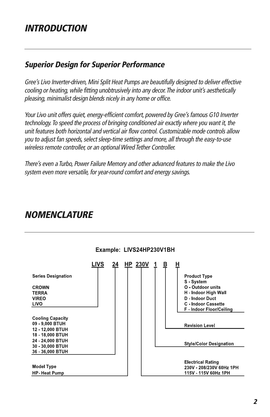## **INTRODUCTION**

#### **Superior Design for Superior Performance**

Gree's Livo Inverter-driven, Mini Split Heat Pumps are beautifully designed to deliver effective cooling or heating, while fitting unobtrusively into any decor. The indoor unit's aesthetically pleasing, minimalist design blends nicely in any home or office.

Your Livo unit offers quiet, energy-efficient comfort, powered by Gree's famous G10 Inverter technology.To speed the process of bringing conditioned air exactly where you want it, the unit features both horizontal and vertical air flow control. Customizable mode controls allow you to adjust fan speeds, select sleep-time settings and more, all through the easy-to-use wireless remote controller, or an optional Wired Tether Controller.

There's even <sup>a</sup> Turbo, Power Failure Memory and other advanced features to make the Livo system even more versatile, for year-round comfort and energy savings.

### **NOMENCLATURE**



#### Example: LIVS24HP230V1BH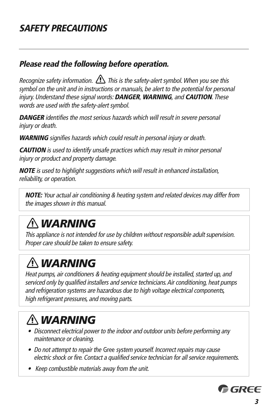## **Please read the following before operation.**

Recognize safety information.  $\bigoplus$  This is the safety-alert symbol. When you see this symbol on the unit and in instructions or manuals, be alert to the potential for personal injury. Understand these signal words: **DANGER**, **WARNING**, and **CAUTION**. These words are used with the safety-alert symbol.

**DANGER** identifies the most serious hazards which will result in severe personal injury or death.

**WARNING** signifies hazards which could result in personal injury or death.

**CAUTION** is used to identify unsafe practices which may result in minor personal injury or product and property damage.

**NOTE** is used to highlight suggestions which will result in enhanced installation, reliability, or operation.

**NOTE:** Your actual air conditioning & heating system and related devices may differ from the images shown in this manual.

# *WARNING*

This appliance is not intended for use by children without responsible adult supervision. Proper care should be taken to ensure safety.

# *WARNING*

Heat pumps, air conditioners & heating equipment should be installed, started up, and serviced only by qualified installers and service technicians. Air conditioning, heat pumps and refrigeration systems are hazardous due to high voltage electrical components, high refrigerant pressures, and moving parts.

# *WARNING*

- **•** Disconnect electrical power to the indoor and outdoor units before performing any maintenance or cleaning.
- Do not attempt to repair the Gree system yourself. Incorrect repairs may cause electric shock or fire. Contact <sup>a</sup> qualified service technician for all service requirements.
- Keep combustible materials away from the unit.

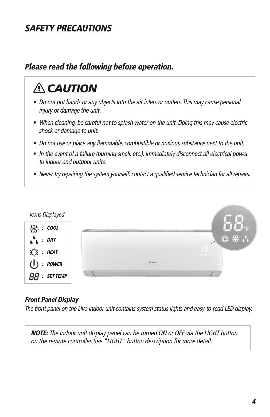# **SAFETY PRECAUTIONS**

## **Please read the following before operation.**

# *CAUTION*

- **•** Do not put hands or any objects into the air inlets or outlets.This may cause personal injury or damage the unit.
- **•** When cleaning, be careful not to splash water on the unit. Doing this may cause electric shock or damage to unit.
- Do not use or place any flammable, combustible or noxious substance next to the unit.
- **•** In the event of <sup>a</sup> failure (burning smell, etc.), immediately disconnect all electrical power to indoor and outdoor units.
- Never try repairing the system yourself; contact a qualified service technician for all repairs.



#### **Front Panel Display**

The front panel on the Livo indoor unit contains system status lights and easy-to-read LED display.

**NOTE:** The indoor unit display panel can be turned ON or OFF via the LIGHT button on the remote controller. See "LIGHT" button description for more detail.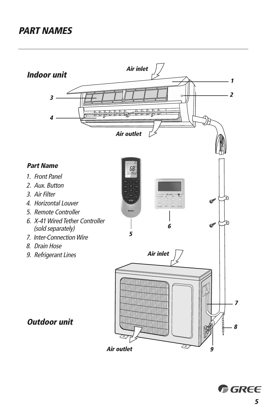# **PART NAMES**

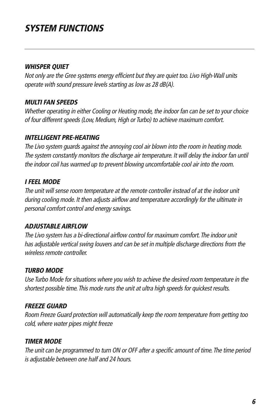# **SYSTEM FUNCTIONS**

#### **WHISPER QUIET**

Not only are the Gree systems energy efficient but they are quiet too. Livo High-Wall units operate with sound pressure levels starting as low as 28 dB(A).

#### **MULTI FAN SPEEDS**

Whether operating in either Cooling or Heating mode, the indoor fan can be set to your choice of four different speeds (Low, Medium, High or Turbo) to achieve maximum comfort.

#### **INTELLIGENT PRE-HEATING**

The Livo system guards against the annoying cool air blown into the room in heating mode. The system constantly monitors the discharge air temperature. It will delay the indoor fan until the indoor coil has warmed up to prevent blowing uncomfortable cool air into the room.

#### **I FEEL MODE**

The unit will sense room temperature at the remote controller instead of at the indoor unit during cooling mode. It then adjusts airflow and temperature accordingly for the ultimate in personal comfort control and energy savings.

#### **ADJUSTABLE AIRFLOW**

The Livo system has <sup>a</sup> bi-directional airflow control for maximum comfort.The indoor unit has adjustable vertical swing louvers and can be set in multiple discharge directions from the wireless remote controller.

#### **TURBO MODE**

Use Turbo Mode for situations where you wish to achieve the desired room temperature in the shortest possible time. This mode runs the unit at ultra high speeds for quickest results.

#### **FREEZE GUARD**

Room Freeze Guard protection will automatically keep the room temperature from getting too cold, where water pipes might freeze

#### **TIMER MODE**

The unit can be programmed to turn ON or OFF after a specific amount of time. The time period is adjustable between one half and 24 hours.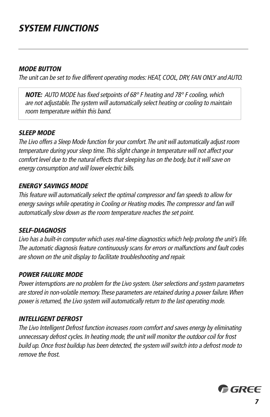# **SYSTEM FUNCTIONS**

#### **MODE BUTTON**

The unit can be set to five different operating modes: HEAT, COOL, DRY, FAN ONLY and AUTO.

**NOTE:** AUTO MODE has fixed setpoints of 68° F heating and 78° F cooling,which are not adjustable.The system will automatically select heating or cooling to maintain room temperature within this band.

#### **SLEEP MODE**

The Livo offers a Sleep Mode function for your comfort. The unit will automatically adjust room temperature during your sleep time. This slight change in temperature will not affect your comfort level due to the natural effects that sleeping has on the body, but it will save on energy consumption and will lower electric bills.

#### **ENERGY SAVINGS MODE**

This feature will automatically select the optimal compressor and fan speeds to allow for energy savings while operating in Cooling or Heating modes.The compressor and fan will automatically slow down as the room temperature reaches the set point.

#### **SELF-DIAGNOSIS**

Livo has <sup>a</sup> built-in computer which uses real-time diagnostics which help prolong the unit's life. The automatic diagnosis feature continuously scans for errors or malfunctions and fault codes are shown on the unit display to facilitate troubleshooting and repair.

#### **POWER FAILURE MODE**

Power interruptions are no problem for the Livo system. User selections and system parameters are stored in non-volatile memory.These parameters are retained during <sup>a</sup> power failure.When power is returned, the Livo system will automatically return to the last operating mode.

#### **INTELLIGENT DEFROST**

The Livo Intelligent Defrost function increases room comfort and saves energy by eliminating unnecessary defrost cycles. In heating mode, the unit will monitor the outdoor coil for frost build up. Once frost buildup has been detected, the system will switch into <sup>a</sup> defrost mode to remove the frost.

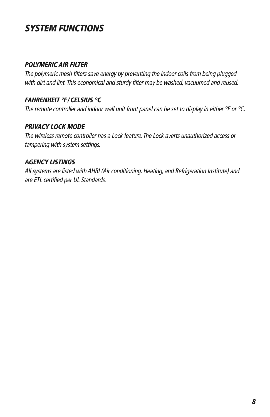# **SYSTEM FUNCTIONS**

#### **POLYMERIC AIR FILTER**

The polymeric mesh filters save energy by preventing the indoor coils from being plugged with dirt and lint. This economical and sturdy filter may be washed, vacuumed and reused.

#### **FAHRENHEIT °F/CELSIUS °C**

The remote controller and indoor wall unit front panel can be set to display in either  $\degree$ F or  $\degree$ C.

#### **PRIVACY LOCK MODE**

The wireless remote controller has <sup>a</sup> Lock feature.The Lock averts unauthorized access or tampering with system settings.

#### **AGENCY LISTINGS**

All systems are listed withAHRI (Air conditioning, Heating, and Refrigeration Institute) and are ETL certified per UL Standards.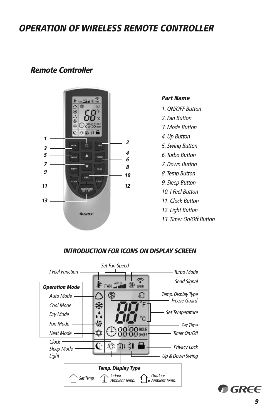#### **Remote Controller**



#### **Part Name**

- 1. ON/OFF Button
- 2. Fan Button
- 3. Mode Button
- 4. Up Button
- 5. Swing Button
- 6. Turbo Button
- 7. Down Button
- 8. Temp Button
- 9. Sleep Button
- 10. I Feel Button
- 11. Clock Button
- 12. Light Button
- 13. Timer On/Off Button

#### **INTRODUCTION FOR ICONS ON DISPLAY SCREEN**

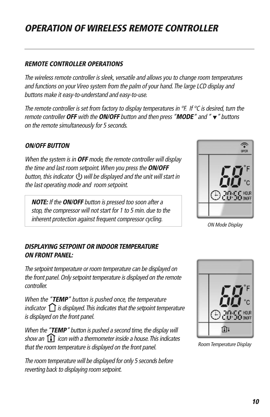#### **REMOTE CONTROLLER OPERATIONS**

The wireless remote controller is sleek, versatile and allows you to change room temperatures and functions on your Vireo system from the palm of your hand.The large LCD display and buttons make it easy-to-understand and easy-to-use.

The remote controller is set from factory to display temperatures in  $\degree$ F. If  $\degree$ C is desired, turn the remote controller **OFF** with the **ON/OFF** button and then press "**MODE**" and " " buttons on the remote simultaneously for 5 seconds.

#### **ON/OFF BUTTON**

When the system is in **OFF** mode, the remote controller will display the time and last room setpoint.When you press the **ON/OFF** button, this indicator  $\bigcup$  will be displayed and the unit will start in the last operating mode and room setpoint.

**NOTE:** If the **ON/OFF** button is pressed too soon after <sup>a</sup> stop, the compressor will not start for 1 to 5 min. due to the inherent protection against frequent compressor cycling.<br>ON Mode Display

# ຈົ OPER

#### **DISPLAYING SETPOINT OR INDOOR TEMPERATURE ON FRONT PANEL:**

The setpoint temperature or room temperature can be displayed on the front panel.Only setpoint temperature is displayed on the remote controller.

When the "**TEMP**" button is pushed once, the temperature indicator  $\bigcap$  is displayed. This indicates that the setpoint temperature is displayed on the front panel.

When the "TEMP" button is pushed a second time, the display will show an  $\text{[}1\text{]}$  icon with a thermometer inside a house. This indicates that the room temperature is displayed on the front panel.

The room temperature will be displayed for only 5 seconds before reverting back to displaying room setpoint.



Room Temperature Display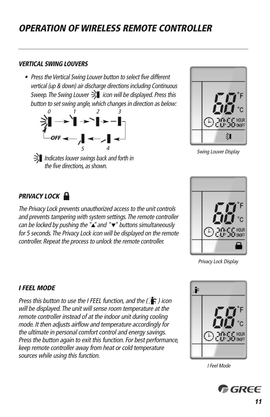#### **VERTICAL SWING LOUVERS**

• Press the Vertical Swing Louver button to select five different vertical (up & down) air discharge directions including Continuous Sweep. The Swing Louver  $\gtrsim$  icon will be displayed. Press this button to set swing angle, which changes in direction as below:



Indicates louver swings back and forth in the five directions, as shown.



**Swing Louver Display** 

#### **PRIVACY LOCK U**

The Privacy Lock prevents unauthorized access to the unit controls and prevents tampering with system settings. The remote controller can be locked by pushing the " $\triangle$ " and " $\nabla$ " buttons simultaneously for 5 seconds. The Privacy Lock icon will be displayed on the remote controller. Repeat the process to unlock the remote controller.



Privacy Lock Display

#### **I FEEL MODE**

Press this button to use the I FEEL function, and the  $(\cdot | \cdot)$  icon will be displayed.The unit will sense room temperature at the remote controller instead of at the indoor unit during cooling mode. It then adjusts airflow and temperature accordingly for the ultimate in personal comfort control and energy savings. Press the button again to exit this function. For best performance, keep remote controller away from heat or cold temperature sources while using this function.



I Feel Mode

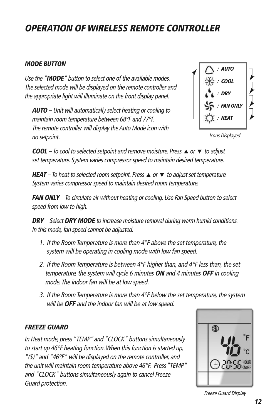#### **MODE BUTTON**

Use the "**MODE**" button to select one of the available modes. The selected mode will be displayed on the remote controller and the appropriate light will illuminate on the front display panel.

**AUTO** – Unit will automatically select heating or cooling to maintain room temperature between 68°F and 77°F. The remote controller will display the Auto Mode icon with no setpoint.



Icons Displayed

**COOL** – To cool to selected setpoint and remove moisture. Press  $\triangle$  or  $\nabla$  to adjust set temperature. System varies compressor speed to maintain desired temperature.

**HEAT** – To heat to selected room setpoint. Press  $\triangle$  or  $\triangledown$  to adjust set temperature. System varies compressor speed to maintain desired room temperature.

**FAN ONLY** – To circulate air without heating or cooling. Use Fan Speed button to select speed from low to high.

**DRY** – Select **DRY MODE** to increase moisture removal during warm humid conditions. In this mode, fan speed cannot be adjusted.

- 1. If the Room Temperature is more than 4°F above the set temperature, the system will be operating in cooling mode with low fan speed.
- 2. If the Room Temperature is between  $4^{\circ}F$  higher than, and  $4^{\circ}F$  less than, the set temperature, the system will cycle 6 minutes **ON** and 4 minutes **OFF** in cooling mode.The indoor fan will be at low speed.
- 3. If the Room Temperature is more than  $4^\circ$ F below the set temperature, the system will be **OFF** and the indoor fan will be at low speed.

#### **FREEZE GUARD**

In Heat mode, press "TEMP" and "CLOCK" buttons simultaneously to start up 46°F heating function.When this function is started up, " $(\text{$\AA$})$ " and "46°F" will be displayed on the remote controller, and the unit will maintain room temperature above 46°F. Press"TEMP" and "CLOCK" buttons simultaneously again to cancel Freeze Guard protection.



Freeze Guard Display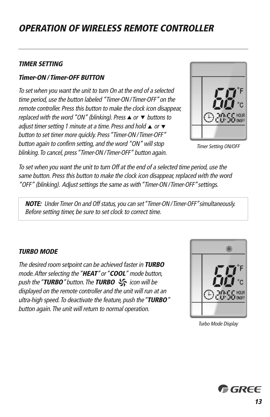#### **TIMER SETTING**

#### **Timer-ON / Timer-OFF BUTTON**

To set when you want the unit to turn On at the end of <sup>a</sup> selected time period, use the button labeled "Timer-ON/Timer-OFF"on the remote controller. Press this button to make the clock icon disappear, replaced with the word "ON" (blinking). Press  $\triangle$  or  $\nabla$  buttons to adjust timer setting 1 minute at a time. Press and hold  $\triangle$  or  $\blacktriangledown$ button to set timer more quickly. Press"Timer-ON/Timer-OFF" button again to confirm setting, and the word "ON" will stop blinking. To cancel, press "Timer-ON / Timer-OFF" button again.



Timer Setting ON/OFF

To set when you want the unit to turn Off at the end of <sup>a</sup> selected time period, use the same button. Press this button to make the clock icon disappear, replaced with the word "OFF" (blinking). Adjust settings the same as with"Timer-ON/Timer-OFF"settings.

**NOTE:** Under Timer On and Off status, you can set"Timer-ON/Timer-OFF"simultaneously. Before setting timer, be sure to set clock to correct time.

#### **TURBO MODE**

The desired room setpoint can be achieved faster in **TURBO** mode.After selecting the"**HEAT**"or"**COOL**" mode button, push the "**TURBO**" button. The **TURBO**  $\frac{1}{2}$  icon will be displayed on the remote controller and the unit will run at an ultra-high speed.To deactivate the feature, push the"**TURBO**" button again.The unit will return to normal operation.



Turbo Mode Display

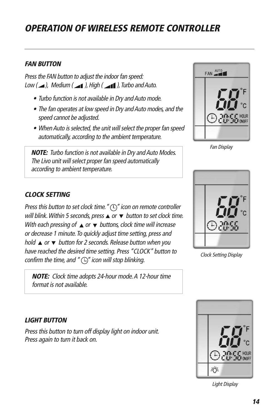#### **FAN BUTTON**

Press the FAN button to adjust the indoor fan speed: Low  $(\triangle)$ , Medium  $(\triangle)$ , High  $(\triangle)$ , Turbo and Auto.

- Turbo function is not available in Dry andAuto mode.
- The fan operates at low speed in Dry and Auto modes, and the speed cannot be adjusted.
- When Auto is selected, the unit will select the proper fan speed automatically, according to the ambient temperature.

**NOTE:** Turbo function is not available in Dry and Auto Modes. The Livo unit will select proper fan speed automatically according to ambient temperature.

#### **CLOCK SETTING**

Press this button to set clock time. " $\bigcirc$ " icon on remote controller will blink. Within 5 seconds, press  $\triangle$  or  $\nabla$  button to set clock time. With each pressing of  $\triangle$  or  $\blacktriangledown$  buttons, clock time will increase or decrease 1 minute. To quickly adjust time setting, press and hold  $\triangle$  or  $\nabla$  button for 2 seconds. Release button when you have reached the desired time setting. Press "CLOCK" button to confirm the time, and " $\bigcirc$ " icon will stop blinking.

**NOTE:** Clock time adopts 24-hour mode.A 12-hour time format is not available.



Fan Display



Clock Setting Display

#### **LIGHT BUTTON**

Press this button to turn off display light on indoor unit. Press again to turn it back on.



Light Display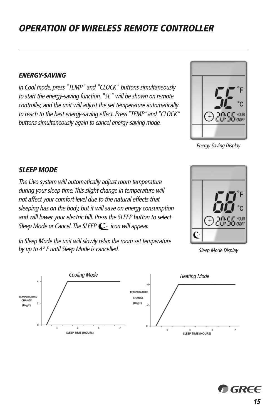#### **ENERGY-SAVING**

In Cool mode, press"TEMP" and "CLOCK" buttons simultaneously to start the energy-saving function."SE" will be shown on remote controller, and the unit will adjust the set temperature automatically to reach to the best energy-saving effect. Press"TEMP"and "CLOCK" buttons simultaneously again to cancel energy-saving mode.



Energy Saving Display

#### **SLEEP MODE**

The Livo system will automatically adjust room temperature during your sleep time.This slight change in temperature will not affect your comfort level due to the natural effects that sleeping has on the body, but it will save on energy consumption and will lower your electric bill. Press the SLEEP button to select Sleep Mode or Cancel. The SLEEP  $\mathbb{C}^*$  icon will appear.



In Sleep Mode the unit will slowly relax the room set temperature by up to 4° F until Sleep Mode is cancelled. Sleep Mode Display



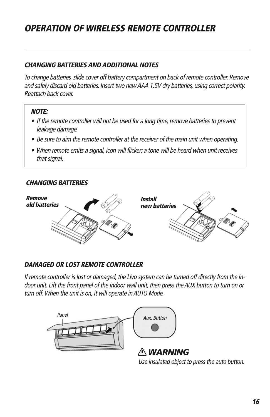#### **CHANGING BATTERIESANDADDITIONAL NOTES**

To change batteries, slide cover off battery compartment on back of remote controller. Remove and safely discard old batteries. Insert two newAAA 1.5V dry batteries, using correct polarity. Reattach back cover.

#### **NOTE:**

- If the remote controller will not be used for a long time, remove batteries to prevent leakage damage.
- Be sure to aim the remote controller at the receiver of the main unit when operating.
- When remote emits <sup>a</sup> signal, icon will flicker; <sup>a</sup> tone will be heard when unit receives that signal.

#### **CHANGING BATTERIES**



#### **DAMAGED OR LOST REMOTE CONTROLLER**

If remote controller is lost or damaged, the Livo system can be turned off directly from the indoor unit. Lift the front panel of the indoor wall unit, then press the AUX button to turn on or turn off. When the unit is on, it will operate in AUTO Mode.



Use insulated object to press the auto button.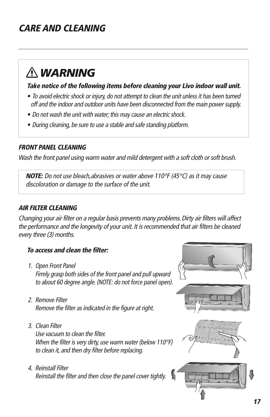# **CARE AND CLEANING**

# *WARNING*

#### **Take notice of the following items before cleaning your Livo indoor wall unit.**

- To avoid electric shock or injury, do not attempt to clean the unit unless it has been turned off and the indoor and outdoor units have been disconnected from the main power supply.
- Do not wash the unit with water; this may cause an electric shock.
- During cleaning, be sure to use <sup>a</sup> stable and safe standing platform.

#### **FRONT PANEL CLEANING**

Wash the front panel using warm water and mild detergent with a soft cloth or soft brush.

**NOTE:** Do not use bleach,abrasives or water above 110°F (45°C) as it may cause discoloration or damage to the surface of the unit.

#### **AIR FILTER CLEANING**

Changing your air filter on <sup>a</sup> regular basis prevents many problems. Dirty air filters will affect the performance and the longevity of your unit. It is recommended that air filters be cleaned every three (3) months.

#### **To access and clean the filter:**

- 1. Open Front Panel Firmly grasp both sides of the front panel and pull upward to about 60 degree angle. (NOTE: do not force panel open).
- 2. Remove Filter Remove the filter as indicated in the figure at right.
- 3. Clean Filter

Use vacuum to clean the filter. When the filter is very dirty, use warm water (below 110°F) to clean it, and then dry filter before replacing.

4. Reinstall Filter Reinstall the filter and then close the panel cover tightly.

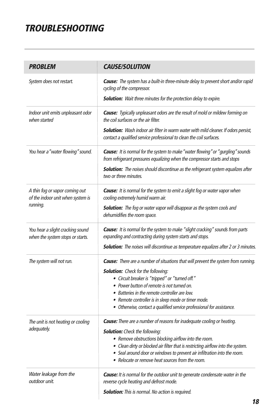# **TROUBLESHOOTING**

| <b>PROBLEM</b>                                                       | <b>CAUSE/SOLUTION</b>                                                                                                                                                                                               |
|----------------------------------------------------------------------|---------------------------------------------------------------------------------------------------------------------------------------------------------------------------------------------------------------------|
| System does not restart.                                             | <b>Cause:</b> The system has a built-in three-minute delay to prevent short and/or rapid<br>cycling of the compressor.                                                                                              |
|                                                                      | <b>Solution:</b> Wait three minutes for the protection delay to expire.                                                                                                                                             |
| Indoor unit emits unpleasant odor<br>when started                    | <b>Cause:</b> Typically unpleasant odors are the result of mold or mildew forming on<br>the coil surfaces or the air filter.<br>Solution: Wash indoor air filter in warm water with mild cleaner. If odors persist, |
|                                                                      | contact a qualified service professional to clean the coil surfaces.                                                                                                                                                |
| You hear a "water flowing" sound.                                    | <b>Cause:</b> It is normal for the system to make "water flowing" or "gurgling" sounds<br>from refrigerant pressures equalizing when the compressor starts and stops                                                |
|                                                                      | <b>Solution:</b> The noises should discontinue as the refrigerant system equalizes after<br>two or three minutes.                                                                                                   |
| A thin fog or vapor coming out<br>of the indoor unit when system is  | <b>Cause:</b> It is normal for the system to emit a slight fog or water vapor when<br>cooling extremely humid warm air.                                                                                             |
| running.                                                             | <b>Solution:</b> The fog or water vapor will disappear as the system cools and<br>dehumidifies the room space.                                                                                                      |
| You hear a slight cracking sound<br>when the system stops or starts. | Cause: It is normal for the system to make "slight cracking" sounds from parts<br>expanding and contracting during system starts and stops.                                                                         |
|                                                                      | Solution: The noises will discontinue as temperature equalizes after 2 or 3 minutes.                                                                                                                                |
| The system will not run.                                             | <b>Cause:</b> There are a number of situations that will prevent the system from running.                                                                                                                           |
|                                                                      | <b>Solution:</b> Check for the following:<br>· Circuit breaker is "tripped" or "turned off."                                                                                                                        |
|                                                                      | • Power button of remote is not turned on.                                                                                                                                                                          |
|                                                                      | • Batteries in the remote controller are low.                                                                                                                                                                       |
|                                                                      | • Remote controller is in sleep mode or timer mode.                                                                                                                                                                 |
|                                                                      | • Otherwise, contact a qualified service professional for assistance.                                                                                                                                               |
| The unit is not heating or cooling<br>adequately.                    | Cause: There are a number of reasons for inadequate cooling or heating.                                                                                                                                             |
|                                                                      | <b>Solution:</b> Check the following:                                                                                                                                                                               |
|                                                                      | • Remove obstructions blocking airflow into the room.<br>• Clean dirty or blocked air filter that is restricting airflow into the system.                                                                           |
|                                                                      | • Seal around door or windows to prevent air infiltration into the room.<br>• Relocate or remove heat sources from the room.                                                                                        |
| Water leakage from the<br>outdoor unit.                              | Cause: It is normal for the outdoor unit to generate condensate water in the<br>reverse cycle heating and defrost mode.                                                                                             |
|                                                                      | <b>Solution:</b> This is normal. No action is required.                                                                                                                                                             |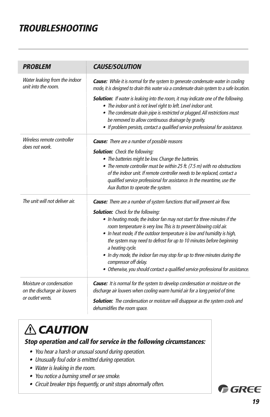# **TROUBLESHOOTING**

| <b>PROBLEM</b>                                                               | <b>CAUSE/SOLUTION</b>                                                                                                                                                                                                                                                                                                                                                                  |
|------------------------------------------------------------------------------|----------------------------------------------------------------------------------------------------------------------------------------------------------------------------------------------------------------------------------------------------------------------------------------------------------------------------------------------------------------------------------------|
| Water leaking from the indoor<br>unit into the room.                         | <b>Cause:</b> While it is normal for the system to generate condensate water in cooling<br>mode, it is designed to drain this water via a condensate drain system to a safe location.                                                                                                                                                                                                  |
|                                                                              | <b>Solution:</b> If water is leaking into the room, it may indicate one of the following.<br>• The indoor unit is not level right to left. Level indoor unit.<br>• The condensate drain pipe is restricted or plugged. All restrictions must<br>be removed to allow continuous drainage by gravity.<br>• If problem persists, contact a qualified service professional for assistance. |
| Wireless remote controller<br>does not work.                                 | <b>Cause:</b> There are a number of possible reasons                                                                                                                                                                                                                                                                                                                                   |
|                                                                              | <b>Solution:</b> Check the following:                                                                                                                                                                                                                                                                                                                                                  |
|                                                                              | • The batteries might be low. Change the batteries.                                                                                                                                                                                                                                                                                                                                    |
|                                                                              | • The remote controller must be within 25 ft. (7.5 m) with no obstructions                                                                                                                                                                                                                                                                                                             |
|                                                                              | of the indoor unit. If remote controller needs to be replaced, contact a                                                                                                                                                                                                                                                                                                               |
|                                                                              | qualified service professional for assistance. In the meantime, use the<br>Aux Button to operate the system.                                                                                                                                                                                                                                                                           |
| The unit will not deliver air.                                               | Cause: There are a number of system functions that will prevent air flow.                                                                                                                                                                                                                                                                                                              |
|                                                                              | <b>Solution:</b> Check for the following:                                                                                                                                                                                                                                                                                                                                              |
|                                                                              | . In heating mode, the indoor fan may not start for three minutes if the<br>room temperature is very low. This is to prevent blowing cold air.<br>• In heat mode, if the outdoor temperature is low and humidity is high,<br>the system may need to defrost for up to 10 minutes before beginning                                                                                      |
|                                                                              | a heating cycle.                                                                                                                                                                                                                                                                                                                                                                       |
|                                                                              | • In dry mode, the indoor fan may stop for up to three minutes during the<br>compressor off delay.                                                                                                                                                                                                                                                                                     |
|                                                                              | • Otherwise, you should contact a qualified service professional for assistance.                                                                                                                                                                                                                                                                                                       |
| Moisture or condensation<br>on the discharge air louvers<br>or outlet vents. | <b>Cause:</b> It is normal for the system to develop condensation or moisture on the<br>discharge air louvers when cooling warm humid air for a long period of time.                                                                                                                                                                                                                   |
|                                                                              | <b>Solution:</b> The condensation or moisture will disappear as the system cools and<br>dehumidifies the room space.                                                                                                                                                                                                                                                                   |

# *A* CAUTION

**Stop operation and call for service in the following circumstances:**

- You hear <sup>a</sup> harsh or unusual sound during operation.
- Unusually foul odor is emitted during operation.
- Water is leaking in the room.
- You notice <sup>a</sup> burning smell or see smoke.
- Circuit breaker trips frequently, or unit stops abnormally often.

GREE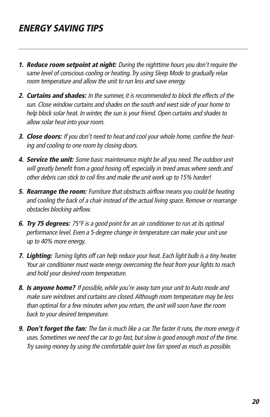# **ENERGY SAVING TIPS**

- **1. Reduce room setpoint at night:** During the nighttime hours you don't require the same level of conscious cooling or heating. Try using Sleep Mode to gradually relax room temperature and allow the unit to run less and save energy.
- **2. Curtains and shades:** In the summer, it is recommended to block the effects of the sun. Close window curtains and shades on the south and west side of your home to help block solar heat. In winter, the sun is your friend. Open curtains and shades to allow solar heat into your room.
- **3. Close doors:** If you don't need to heat and cool your whole home, confine the heating and cooling to one room by closing doors.
- **4. Service the unit:** Some basic maintenance might be all you need. The outdoor unit will greatly benefit from <sup>a</sup> good hosing off, especially in treed areas where seeds and other debris can stick to coil fins and make the unit work up to 15% harder!
- **5. Rearrange the room:** Furniture that obstructs airflow means you could be heating and cooling the back of <sup>a</sup> chair instead of the actual living space. Remove or rearrange obstacles blocking airflow.
- **6. Try 75 degrees:** 75°F is <sup>a</sup> good point for an air conditioner to run at its optimal performance level. Even <sup>a</sup> 5-degree change in temperature can make your unit use up to 40% more energy.
- **7. Lighting:** Turning lights off can help reduce your heat. Each light bulb is <sup>a</sup> tiny heater. Your air conditioner must waste energy overcoming the heat from your lights to reach and hold your desired room temperature.
- 8. **Is anyone home?** If possible, while you're away turn your unit to Auto mode and make sure windows and curtains are closed.Although room temperature may be less than optimal for <sup>a</sup> few minutes when you return, the unit will soon have the room back to your desired temperature.
- **9. Don't forget the fan:** The fan is much like <sup>a</sup> car. The faster it runs, the more energy it uses. Sometimes we need the car to go fast, but slow is good enough most of the time. Try saving money by using the comfortable quiet low fan speed as much as possible.